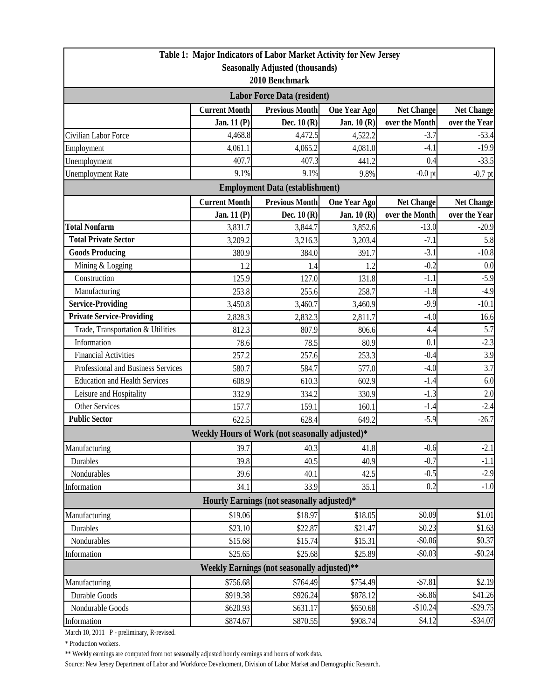|                                                                         |                      | Table 1: Major Indicators of Labor Market Activity for New Jersey |                     |                   |                   |  |  |  |
|-------------------------------------------------------------------------|----------------------|-------------------------------------------------------------------|---------------------|-------------------|-------------------|--|--|--|
| <b>Seasonally Adjusted (thousands)</b>                                  |                      |                                                                   |                     |                   |                   |  |  |  |
| 2010 Benchmark                                                          |                      |                                                                   |                     |                   |                   |  |  |  |
| <b>Labor Force Data (resident)</b>                                      |                      |                                                                   |                     |                   |                   |  |  |  |
|                                                                         | <b>Current Month</b> | <b>Previous Month</b>                                             | <b>One Year Ago</b> | <b>Net Change</b> | <b>Net Change</b> |  |  |  |
|                                                                         | Jan. 11 (P)          | Dec. $10(R)$                                                      | Jan. $10(R)$        | over the Month    | over the Year     |  |  |  |
| Civilian Labor Force                                                    | 4,468.8              | 4,472.5                                                           | 4,522.2             | $-3.7$            | $-53.4$           |  |  |  |
| Employment                                                              | 4,061.1              | 4,065.2                                                           | 4,081.0             | $-4.1$            | $-19.9$           |  |  |  |
| Unemployment                                                            | 407.7                | 407.3                                                             | 441.2               | 0.4               | $-33.5$           |  |  |  |
| <b>Unemployment Rate</b>                                                | 9.1%                 | 9.1%                                                              | 9.8%                | $-0.0$ pt         | $-0.7$ pt         |  |  |  |
|                                                                         |                      | <b>Employment Data (establishment)</b>                            |                     |                   |                   |  |  |  |
|                                                                         | <b>Current Month</b> | <b>Previous Month</b>                                             | <b>One Year Ago</b> | <b>Net Change</b> | <b>Net Change</b> |  |  |  |
|                                                                         | Jan. 11 (P)          | Dec. $10(R)$                                                      | Jan. 10 (R)         | over the Month    | over the Year     |  |  |  |
| <b>Total Nonfarm</b>                                                    | 3,831.7              | 3,844.7                                                           | 3,852.6             | $-13.0$           | $-20.9$           |  |  |  |
| <b>Total Private Sector</b>                                             | 3,209.2              | 3,216.3                                                           | 3,203.4             | $-7.1$            | 5.8               |  |  |  |
| <b>Goods Producing</b>                                                  | 380.9                | 384.0                                                             | 391.7               | $-3.1$            | $-10.8$           |  |  |  |
| Mining & Logging                                                        | 1.2                  | 1.4                                                               | 1.2                 | $-0.2$            | 0.0               |  |  |  |
| Construction                                                            | 125.9                | 127.0                                                             | 131.8               | $-1.1$            | $-5.9$            |  |  |  |
| Manufacturing                                                           | 253.8                | 255.6                                                             | 258.7               | $-1.8$            | $-4.9$            |  |  |  |
| <b>Service-Providing</b>                                                | 3,450.8              | 3,460.7                                                           | 3,460.9             | $-9.9$            | $-10.1$           |  |  |  |
| <b>Private Service-Providing</b>                                        | 2,828.3              | 2,832.3                                                           | 2,811.7             | $-4.0$            | 16.6              |  |  |  |
| Trade, Transportation & Utilities                                       | 812.3                | 807.9                                                             | 806.6               | 4.4               | 5.7               |  |  |  |
| Information                                                             | 78.6                 | 78.5                                                              | 80.9                | 0.1               | $-2.3$            |  |  |  |
| <b>Financial Activities</b>                                             | 257.2                | 257.6                                                             | 253.3               | $-0.4$            | 3.9               |  |  |  |
| Professional and Business Services                                      | 580.7                | 584.7                                                             | 577.0               | $-4.0$            | 3.7               |  |  |  |
| <b>Education and Health Services</b>                                    | 608.9                | 610.3                                                             | 602.9               | $-1.4$            | 6.0               |  |  |  |
| Leisure and Hospitality                                                 | 332.9                | 334.2                                                             | 330.9               | $-1.3$            | 2.0               |  |  |  |
| <b>Other Services</b>                                                   | 157.7                | 159.1                                                             | 160.1               | $-1.4$            | $-2.4$            |  |  |  |
| <b>Public Sector</b>                                                    | 622.5                | 628.4                                                             | 649.2               | $-5.9$            | $-26.7$           |  |  |  |
|                                                                         |                      | Weekly Hours of Work (not seasonally adjusted)*                   |                     |                   |                   |  |  |  |
| Manufacturing                                                           | 39.7                 | 40.3                                                              | 41.8                | $-0.6$            | $-2.1$            |  |  |  |
| Durables                                                                | 39.8                 | 40.5                                                              | 40.9                | $-0.7$            | $-1.1$            |  |  |  |
| Nondurables                                                             | 39.6                 | 40.1                                                              | 42.5                | $-0.5$            | $-2.9$            |  |  |  |
| Information                                                             | 34.1                 | 33.9                                                              | 35.1                | 0.2               | $-1.0$            |  |  |  |
| Hourly Earnings (not seasonally adjusted)*                              |                      |                                                                   |                     |                   |                   |  |  |  |
| Manufacturing                                                           | \$19.06              | \$18.97                                                           | \$18.05             | \$0.09            | \$1.01            |  |  |  |
| Durables                                                                | \$23.10              | \$22.87                                                           | \$21.47             | \$0.23            | \$1.63            |  |  |  |
| Nondurables                                                             | \$15.68              | \$15.74                                                           | \$15.31             | $-$0.06$          | \$0.37            |  |  |  |
| Information                                                             | \$25.65              | \$25.68                                                           | \$25.89             | $-$0.03$          | $-$0.24$          |  |  |  |
| Weekly Earnings (not seasonally adjusted)**                             |                      |                                                                   |                     |                   |                   |  |  |  |
| $-$7.81$<br>\$2.19<br>\$756.68<br>Manufacturing<br>\$764.49<br>\$754.49 |                      |                                                                   |                     |                   |                   |  |  |  |
| Durable Goods                                                           | \$919.38             | \$926.24]                                                         | \$878.12            | $-$ \$6.86        | \$41.26           |  |  |  |
| Nondurable Goods                                                        | \$620.93             | \$631.17                                                          | \$650.68            | $-$10.24$         | $-$ \$29.75       |  |  |  |
| Information                                                             | \$874.67             | \$870.55                                                          | \$908.74            | \$4.12            | $-$ \$34.07       |  |  |  |
|                                                                         |                      |                                                                   |                     |                   |                   |  |  |  |

March 10, 2011 P - preliminary, R-revised.

\* Production workers.

\*\* Weekly earnings are computed from not seasonally adjusted hourly earnings and hours of work data.

Source: New Jersey Department of Labor and Workforce Development, Division of Labor Market and Demographic Research.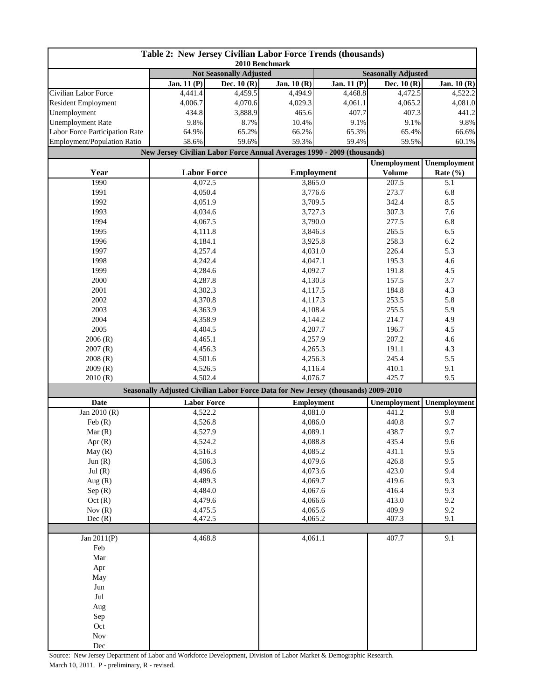| Table 2: New Jersey Civilian Labor Force Trends (thousands) |                                                                                    |               |                    |             |                     |                     |  |
|-------------------------------------------------------------|------------------------------------------------------------------------------------|---------------|--------------------|-------------|---------------------|---------------------|--|
|                                                             | 2010 Benchmark<br><b>Not Seasonally Adjusted</b><br><b>Seasonally Adjusted</b>     |               |                    |             |                     |                     |  |
|                                                             | <b>Jan. 11 (P)</b>                                                                 | Dec. 10 $(R)$ | Jan. 10 (R)        | Jan. 11 (P) | Dec. 10 (R)         | Jan. 10 (R)         |  |
| Civilian Labor Force                                        | 4,441.4                                                                            | 4,459.5       | 4,494.9            | 4,468.8     | 4,472.5             | 4,522.2             |  |
| <b>Resident Employment</b>                                  | 4,006.7                                                                            | 4,070.6       | 4,029.3            | 4,061.1     | 4,065.2             | 4,081.0             |  |
| Unemployment                                                | 434.8                                                                              | 3,888.9       | 465.6              | 407.7       | 407.3               | 441.2               |  |
| <b>Unemployment Rate</b>                                    | 9.8%                                                                               | 8.7%          | 10.4%              | 9.1%        | 9.1%                | 9.8%                |  |
| Labor Force Participation Rate                              | 64.9%                                                                              | 65.2%         | 66.2%              | 65.3%       | 65.4%               | 66.6%               |  |
| Employment/Population Ratio                                 | 58.6%                                                                              | 59.6%         | 59.3%              | 59.4%       | 59.5%               | 60.1%               |  |
|                                                             | New Jersey Civilian Labor Force Annual Averages 1990 - 2009 (thousands)            |               |                    |             |                     |                     |  |
|                                                             |                                                                                    |               |                    |             | <b>Unemployment</b> | <b>Unemployment</b> |  |
| Year                                                        | <b>Labor Force</b>                                                                 |               | <b>Employment</b>  |             | <b>Volume</b>       | Rate (%)            |  |
| 1990                                                        | 4,072.5                                                                            |               | 3,865.0            |             | 207.5               | 5.1                 |  |
| 1991                                                        | 4,050.4                                                                            |               | 3,776.6            |             | 273.7               | 6.8                 |  |
| 1992                                                        | 4,051.9                                                                            |               | 3,709.5            |             | 342.4               | 8.5                 |  |
| 1993                                                        | 4,034.6                                                                            |               | 3,727.3            |             | 307.3               | 7.6                 |  |
| 1994                                                        | 4,067.5                                                                            |               | 3,790.0            |             | 277.5               | 6.8                 |  |
| 1995                                                        | 4,111.8                                                                            |               | 3,846.3            |             | 265.5               | 6.5                 |  |
| 1996                                                        | 4,184.1                                                                            |               | 3,925.8            |             | 258.3               | 6.2                 |  |
| 1997                                                        | 4,257.4                                                                            |               | 4,031.0            |             | 226.4               | 5.3                 |  |
| 1998                                                        | 4,242.4                                                                            |               | 4,047.1            |             | 195.3               | 4.6                 |  |
| 1999                                                        | 4,284.6                                                                            |               | 4,092.7            |             | 191.8               | 4.5                 |  |
| 2000                                                        | 4,287.8                                                                            |               | 4,130.3            |             | 157.5               | 3.7                 |  |
| 2001                                                        | 4,302.3                                                                            |               | 4,117.5            |             | 184.8               | 4.3                 |  |
| 2002                                                        | 4,370.8                                                                            |               | 4,117.3            |             | 253.5               | 5.8                 |  |
| 2003                                                        | 4,363.9                                                                            |               | 4,108.4            |             | 255.5               | 5.9                 |  |
| 2004                                                        | 4,358.9                                                                            |               | 4,144.2            |             | 214.7               | 4.9                 |  |
| 2005                                                        | 4,404.5                                                                            |               | 4,207.7            |             | 196.7               | 4.5                 |  |
| 2006(R)                                                     | 4,465.1                                                                            |               | 4,257.9            |             | 207.2               | 4.6                 |  |
| 2007(R)                                                     | 4,456.3                                                                            |               | 4,265.3            |             | 191.1               | 4.3                 |  |
| 2008(R)                                                     | 4,501.6                                                                            |               | 4,256.3            |             | 245.4               | 5.5                 |  |
| 2009(R)                                                     | 4,526.5                                                                            |               | 4,116.4            |             | 410.1               | 9.1                 |  |
| 2010(R)                                                     | 4,502.4                                                                            |               | 4,076.7            |             | 425.7               | 9.5                 |  |
|                                                             | Seasonally Adjusted Civilian Labor Force Data for New Jersey (thousands) 2009-2010 |               |                    |             |                     |                     |  |
| Date                                                        | <b>Labor Force</b>                                                                 |               | <b>Employment</b>  |             | Unemployment        | Unemployment        |  |
| Jan 2010 (R)                                                | 4,522.2                                                                            |               | 4,081.0            |             | 441.2               | 9.8                 |  |
| Feb(R)                                                      | 4,526.8                                                                            |               | 4,086.0<br>4,089.1 |             | 440.8               | 9.7                 |  |
| Mar(R)                                                      | 4,527.9                                                                            |               | 4,088.8            |             | 438.7               | 9.7                 |  |
| Apr $(R)$                                                   | 4,524.2                                                                            |               | 4,085.2            |             | 435.4<br>431.1      | 9.6                 |  |
| May(R)<br>Jun $(R)$                                         | 4,516.3                                                                            |               | 4,079.6            |             |                     | 9.5<br>9.5          |  |
|                                                             | 4,506.3                                                                            |               | 4,073.6            |             | 426.8<br>423.0      | 9.4                 |  |
| Jul(R)<br>Aug $(R)$                                         | 4,496.6<br>4,489.3                                                                 |               | 4,069.7            |             | 419.6               | 9.3                 |  |
| Sep(R)                                                      | 4,484.0                                                                            |               | 4,067.6            |             | 416.4               | 9.3                 |  |
| Oct(R)                                                      |                                                                                    |               | 4,066.6            |             | 413.0               | 9.2                 |  |
| Nov $(R)$                                                   | 4,479.6                                                                            |               | 4,065.6            |             | 409.9               | 9.2                 |  |
| Dec(R)                                                      | 4,475.5<br>4,472.5                                                                 |               | 4,065.2            |             | 407.3               | 9.1                 |  |
|                                                             |                                                                                    |               |                    |             |                     |                     |  |
| Jan 2011(P)                                                 | 4,468.8                                                                            |               | 4,061.1            |             | 407.7               | 9.1                 |  |
| Feb                                                         |                                                                                    |               |                    |             |                     |                     |  |
| Mar                                                         |                                                                                    |               |                    |             |                     |                     |  |
| Apr                                                         |                                                                                    |               |                    |             |                     |                     |  |
| May                                                         |                                                                                    |               |                    |             |                     |                     |  |
| Jun                                                         |                                                                                    |               |                    |             |                     |                     |  |
| $_{\rm{Jul}}$                                               |                                                                                    |               |                    |             |                     |                     |  |
| Aug                                                         |                                                                                    |               |                    |             |                     |                     |  |
| Sep                                                         |                                                                                    |               |                    |             |                     |                     |  |
| Oct                                                         |                                                                                    |               |                    |             |                     |                     |  |
| <b>Nov</b>                                                  |                                                                                    |               |                    |             |                     |                     |  |
| Dec                                                         |                                                                                    |               |                    |             |                     |                     |  |

Source: New Jersey Department of Labor and Workforce Development, Division of Labor Market & Demographic Research. March 10, 2011. P - preliminary, R - revised.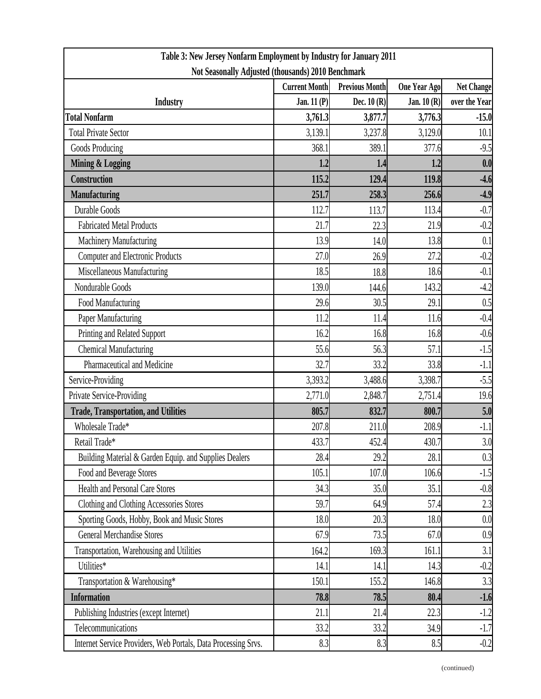| Table 3: New Jersey Nonfarm Employment by Industry for January 2011 |                      |                       |              |                   |  |  |
|---------------------------------------------------------------------|----------------------|-----------------------|--------------|-------------------|--|--|
| Not Seasonally Adjusted (thousands) 2010 Benchmark                  |                      |                       |              |                   |  |  |
|                                                                     | <b>Current Month</b> | <b>Previous Month</b> | One Year Ago | <b>Net Change</b> |  |  |
| <b>Industry</b>                                                     | Jan. $11(P)$         | Dec. $10(R)$          | Jan. $10(R)$ | over the Year     |  |  |
| <b>Total Nonfarm</b>                                                | 3,761.3              | 3,877.7               | 3,776.3      | $-15.0$           |  |  |
| <b>Total Private Sector</b>                                         | 3,139.1              | 3,237.8               | 3,129.0      | 10.1              |  |  |
| Goods Producing                                                     | 368.1                | 389.1                 | 377.6        | $-9.5$            |  |  |
| <b>Mining &amp; Logging</b>                                         | 1.2                  | 1.4                   | 1.2          | 0.0               |  |  |
| <b>Construction</b>                                                 | 115.2                | 129.4                 | 119.8        | $-4.6$            |  |  |
| <b>Manufacturing</b>                                                | 251.7                | 258.3                 | 256.6        | $-4.9$            |  |  |
| Durable Goods                                                       | 112.7                | 113.7                 | 113.4        | $-0.7$            |  |  |
| <b>Fabricated Metal Products</b>                                    | 21.7                 | 22.3                  | 21.9         | $-0.2$            |  |  |
| Machinery Manufacturing                                             | 13.9                 | 14.0                  | 13.8         | 0.1               |  |  |
| <b>Computer and Electronic Products</b>                             | 27.0                 | 26.9                  | 27.2         | $-0.2$            |  |  |
| Miscellaneous Manufacturing                                         | 18.5                 | 18.8                  | 18.6         | $-0.1$            |  |  |
| Nondurable Goods                                                    | 139.0                | 144.6                 | 143.2        | $-4.2$            |  |  |
| Food Manufacturing                                                  | 29.6                 | 30.5                  | 29.1         | 0.5               |  |  |
| Paper Manufacturing                                                 | 11.2                 | 11.4                  | 11.6         | $-0.4$            |  |  |
| Printing and Related Support                                        | 16.2                 | 16.8                  | 16.8         | $-0.6$            |  |  |
| <b>Chemical Manufacturing</b>                                       | 55.6                 | 56.3                  | 57.1         | $-1.5$            |  |  |
| Pharmaceutical and Medicine                                         | 32.7                 | 33.2                  | 33.8         | $-1.1$            |  |  |
| Service-Providing                                                   | 3,393.2              | 3,488.6               | 3,398.7      | $-5.5$            |  |  |
| Private Service-Providing                                           | 2,771.0              | 2,848.7               | 2,751.4      | 19.6              |  |  |
| <b>Trade, Transportation, and Utilities</b>                         | 805.7                | 832.7                 | 800.7        | 5.0               |  |  |
| Wholesale Trade*                                                    | 207.8                | 211.0                 | 208.9        | $-1.1$            |  |  |
| Retail Trade*                                                       | 433.7                | 452.4                 | 430.7        | 3.0               |  |  |
| Building Material & Garden Equip. and Supplies Dealers              | 28.4                 | 29.2                  | 28.1         | 0.3               |  |  |
| Food and Beverage Stores                                            | 105.1                | 107.0                 | 106.6        | $-1.5$            |  |  |
| <b>Health and Personal Care Stores</b>                              | 34.3                 | 35.0                  | 35.1         | $-0.8$            |  |  |
| Clothing and Clothing Accessories Stores                            | 59.7                 | 64.9                  | 57.4         | 2.3               |  |  |
| Sporting Goods, Hobby, Book and Music Stores                        | 18.0                 | 20.3                  | 18.0         | 0.0               |  |  |
| <b>General Merchandise Stores</b>                                   | 67.9                 | 73.5                  | 67.0         | 0.9               |  |  |
| Transportation, Warehousing and Utilities                           | 164.2                | 169.3                 | 161.1        | 3.1               |  |  |
| Utilities*                                                          | 14.1                 | 14.1                  | 14.3         | $-0.2$            |  |  |
| Transportation & Warehousing*                                       | 150.1                | 155.2                 | 146.8        | 3.3               |  |  |
| <b>Information</b>                                                  | 78.8                 | 78.5                  | 80.4         | $-1.6$            |  |  |
| Publishing Industries (except Internet)                             | 21.1                 | 21.4                  | 22.3         | $-1.2$            |  |  |
| Telecommunications                                                  | 33.2                 | 33.2                  | 34.9         | $-1.7$            |  |  |
| Internet Service Providers, Web Portals, Data Processing Srvs.      | 8.3                  | 8.3                   | 8.5          | $-0.2$            |  |  |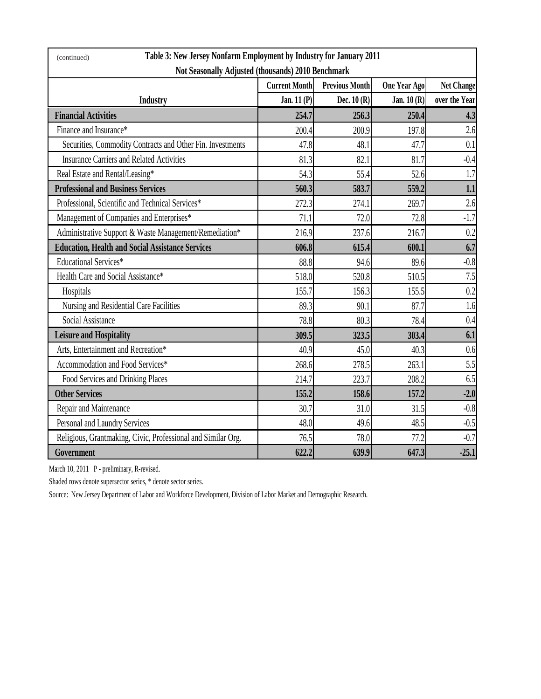| Table 3: New Jersey Nonfarm Employment by Industry for January 2011<br>(continued) |                                               |              |              |                   |  |  |
|------------------------------------------------------------------------------------|-----------------------------------------------|--------------|--------------|-------------------|--|--|
| Not Seasonally Adjusted (thousands) 2010 Benchmark                                 |                                               |              |              |                   |  |  |
|                                                                                    | <b>Previous Month</b><br><b>Current Month</b> |              | One Year Ago | <b>Net Change</b> |  |  |
| <b>Industry</b>                                                                    | Jan. 11 (P)                                   | Dec. $10(R)$ | Jan. $10(R)$ | over the Year     |  |  |
| <b>Financial Activities</b>                                                        | 254.7                                         | 256.3        | 250.4        | 4.3               |  |  |
| Finance and Insurance*                                                             | 200.4                                         | 200.9        | 197.8        | 2.6               |  |  |
| Securities, Commodity Contracts and Other Fin. Investments                         | 47.8                                          | 48.1         | 47.7         | 0.1               |  |  |
| <b>Insurance Carriers and Related Activities</b>                                   | 81.3                                          | 82.1         | 81.7         | $-0.4$            |  |  |
| Real Estate and Rental/Leasing*                                                    | 54.3                                          | 55.4         | 52.6         | 1.7               |  |  |
| <b>Professional and Business Services</b>                                          | 560.3                                         | 583.7        | 559.2        | 1.1               |  |  |
| Professional, Scientific and Technical Services*                                   | 272.3                                         | 274.1        | 269.7        | 2.6               |  |  |
| Management of Companies and Enterprises*                                           | 71.1                                          | 72.0         | 72.8         | $-1.7$            |  |  |
| Administrative Support & Waste Management/Remediation*                             | 216.9                                         | 237.6        | 216.7        | 0.2               |  |  |
| <b>Education, Health and Social Assistance Services</b>                            | 606.8                                         | 615.4        | 600.1        | 6.7               |  |  |
| <b>Educational Services*</b>                                                       | 88.8                                          | 94.6         | 89.6         | $-0.8$            |  |  |
| Health Care and Social Assistance*                                                 | 518.0                                         | 520.8        | 510.5        | 7.5               |  |  |
| Hospitals                                                                          | 155.7                                         | 156.3        | 155.5        | 0.2               |  |  |
| Nursing and Residential Care Facilities                                            | 89.3                                          | 90.1         | 87.7         | 1.6               |  |  |
| Social Assistance                                                                  | 78.8                                          | 80.3         | 78.4         | 0.4               |  |  |
| <b>Leisure and Hospitality</b>                                                     | 309.5                                         | 323.5        | 303.4        | 6.1               |  |  |
| Arts, Entertainment and Recreation*                                                | 40.9                                          | 45.0         | 40.3         | 0.6               |  |  |
| Accommodation and Food Services*                                                   | 268.6                                         | 278.5        | 263.1        | 5.5               |  |  |
| Food Services and Drinking Places                                                  | 214.7                                         | 223.7        | 208.2        | 6.5               |  |  |
| <b>Other Services</b>                                                              | 155.2                                         | 158.6        | 157.2        | $-2.0$            |  |  |
| Repair and Maintenance                                                             | 30.7                                          | 31.0         | 31.5         | $-0.8$            |  |  |
| Personal and Laundry Services                                                      | 48.0                                          | 49.6         | 48.5         | $-0.5$            |  |  |
| Religious, Grantmaking, Civic, Professional and Similar Org.                       | 76.5                                          | 78.0         | 77.2         | $-0.7$            |  |  |
| Government                                                                         | 622.2                                         | 639.9        | 647.3        | $-25.1$           |  |  |

March 10, 2011 P - preliminary, R-revised.

Shaded rows denote supersector series, \* denote sector series.

Source: New Jersey Department of Labor and Workforce Development, Division of Labor Market and Demographic Research.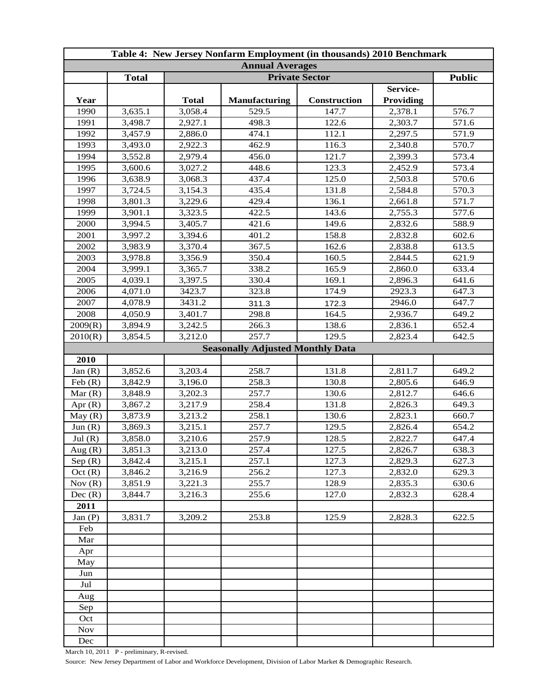| <b>Annual Averages</b><br><b>Total</b><br><b>Public</b><br><b>Private Sector</b><br>Service-<br>Year<br><b>Total</b><br><b>Manufacturing</b><br>Construction<br><b>Providing</b><br>529.5<br>3,635.1<br>3,058.4<br>147.7<br>2,378.1<br>576.7<br>1990<br>1991<br>3,498.7<br>2,927.1<br>498.3<br>2,303.7<br>122.6<br>571.6<br>1992<br>3,457.9<br>2,886.0<br>474.1<br>112.1<br>2,297.5<br>571.9<br>1993<br>462.9<br>3,493.0<br>2,922.3<br>116.3<br>2,340.8<br>570.7<br>573.4<br>1994<br>3,552.8<br>2,979.4<br>456.0<br>121.7<br>2,399.3<br>1995<br>3,600.6<br>3,027.2<br>448.6<br>123.3<br>2,452.9<br>573.4<br>1996<br>437.4<br>125.0<br>570.6<br>3,638.9<br>3,068.3<br>2,503.8<br>1997<br>435.4<br>131.8<br>570.3<br>3,724.5<br>3,154.3<br>2,584.8<br>1998<br>3,801.3<br>3,229.6<br>429.4<br>136.1<br>2,661.8<br>571.7<br>1999<br>3,901.1<br>3,323.5<br>422.5<br>143.6<br>2,755.3<br>577.6<br>2000<br>3,994.5<br>588.9<br>3,405.7<br>421.6<br>149.6<br>2,832.6<br>2001<br>3,997.2<br>3,394.6<br>401.2<br>158.8<br>2,832.8<br>602.6<br>367.5<br>613.5<br>2002<br>3,983.9<br>3,370.4<br>162.6<br>2,838.8<br>3,978.8<br>350.4<br>2003<br>3,356.9<br>160.5<br>2,844.5<br>621.9<br>338.2<br>165.9<br>633.4<br>2004<br>3,999.1<br>3,365.7<br>2,860.0<br>2005<br>4,039.1<br>3,397.5<br>330.4<br>641.6<br>169.1<br>2,896.3<br>323.8<br>2006<br>4,071.0<br>3423.7<br>174.9<br>2923.3<br>647.3<br>2007<br>4,078.9<br>3431.2<br>2946.0<br>647.7<br>311.3<br>172.3<br>2008<br>298.8<br>164.5<br>649.2<br>4,050.9<br>3,401.7<br>2,936.7<br>3,894.9<br>3,242.5<br>266.3<br>138.6<br>2,836.1<br>652.4<br>2009(R)<br>257.7<br>3,854.5<br>3,212.0<br>2,823.4<br>129.5<br>642.5<br>2010(R)<br><b>Seasonally Adjusted Monthly Data</b><br>2010<br>3,852.6<br>3,203.4<br>258.7<br>131.8<br>Jan $(R)$<br>2,811.7<br>649.2<br>Feb $(R)$<br>3,842.9<br>3,196.0<br>258.3<br>130.8<br>646.9<br>2,805.6<br>Mar(R)<br>3,848.9<br>257.7<br>646.6<br>3,202.3<br>130.6<br>2,812.7<br>3,867.2<br>3,217.9<br>258.4<br>649.3<br>Apr $(R)$<br>131.8<br>2,826.3<br>258.1<br>3,873.9<br>3,213.2<br>130.6<br>2,823.1<br>660.7<br>May (R)<br>257.7<br>Jun $(R)$<br>3,869.3<br>3,215.1<br>129.5<br>2,826.4<br>654.2<br>3,858.0<br>3,210.6<br>257.9<br>128.5<br>2,822.7<br>Jul(R)<br>647.4<br>Aug $(R)$<br>257.4<br>127.5<br>638.3<br>3,851.3<br>3,213.0<br>2,826.7<br>Sep(R)<br>257.1<br>127.3<br>627.3<br>3,842.4<br>3,215.1<br>2,829.3<br>256.2<br>Oct(R)<br>3,846.2<br>3,216.9<br>127.3<br>629.3<br>2,832.0<br>Nov(R)<br>3,851.9<br>3,221.3<br>255.7<br>128.9<br>630.6<br>2,835.3<br>Dec(R)<br>255.6<br>3,844.7<br>3,216.3<br>127.0<br>2,832.3<br>628.4<br>2011<br>253.8<br>125.9<br>3,831.7<br>3,209.2<br>2,828.3<br>622.5<br>Jan $(P)$<br>Feb<br>Mar<br>Apr<br>May<br>Jun<br>Jul<br>Aug<br>Sep<br>Oct<br><b>Nov</b><br>Dec | Table 4: New Jersey Nonfarm Employment (in thousands) 2010 Benchmark |  |  |  |  |  |  |
|----------------------------------------------------------------------------------------------------------------------------------------------------------------------------------------------------------------------------------------------------------------------------------------------------------------------------------------------------------------------------------------------------------------------------------------------------------------------------------------------------------------------------------------------------------------------------------------------------------------------------------------------------------------------------------------------------------------------------------------------------------------------------------------------------------------------------------------------------------------------------------------------------------------------------------------------------------------------------------------------------------------------------------------------------------------------------------------------------------------------------------------------------------------------------------------------------------------------------------------------------------------------------------------------------------------------------------------------------------------------------------------------------------------------------------------------------------------------------------------------------------------------------------------------------------------------------------------------------------------------------------------------------------------------------------------------------------------------------------------------------------------------------------------------------------------------------------------------------------------------------------------------------------------------------------------------------------------------------------------------------------------------------------------------------------------------------------------------------------------------------------------------------------------------------------------------------------------------------------------------------------------------------------------------------------------------------------------------------------------------------------------------------------------------------------------------------------------------------------------------------------------------------------------------------------------------------------------------------------------------------------------------------------------------------------------------------------------------------------------------------------------------------------------|----------------------------------------------------------------------|--|--|--|--|--|--|
|                                                                                                                                                                                                                                                                                                                                                                                                                                                                                                                                                                                                                                                                                                                                                                                                                                                                                                                                                                                                                                                                                                                                                                                                                                                                                                                                                                                                                                                                                                                                                                                                                                                                                                                                                                                                                                                                                                                                                                                                                                                                                                                                                                                                                                                                                                                                                                                                                                                                                                                                                                                                                                                                                                                                                                                        |                                                                      |  |  |  |  |  |  |
|                                                                                                                                                                                                                                                                                                                                                                                                                                                                                                                                                                                                                                                                                                                                                                                                                                                                                                                                                                                                                                                                                                                                                                                                                                                                                                                                                                                                                                                                                                                                                                                                                                                                                                                                                                                                                                                                                                                                                                                                                                                                                                                                                                                                                                                                                                                                                                                                                                                                                                                                                                                                                                                                                                                                                                                        |                                                                      |  |  |  |  |  |  |
|                                                                                                                                                                                                                                                                                                                                                                                                                                                                                                                                                                                                                                                                                                                                                                                                                                                                                                                                                                                                                                                                                                                                                                                                                                                                                                                                                                                                                                                                                                                                                                                                                                                                                                                                                                                                                                                                                                                                                                                                                                                                                                                                                                                                                                                                                                                                                                                                                                                                                                                                                                                                                                                                                                                                                                                        |                                                                      |  |  |  |  |  |  |
|                                                                                                                                                                                                                                                                                                                                                                                                                                                                                                                                                                                                                                                                                                                                                                                                                                                                                                                                                                                                                                                                                                                                                                                                                                                                                                                                                                                                                                                                                                                                                                                                                                                                                                                                                                                                                                                                                                                                                                                                                                                                                                                                                                                                                                                                                                                                                                                                                                                                                                                                                                                                                                                                                                                                                                                        |                                                                      |  |  |  |  |  |  |
|                                                                                                                                                                                                                                                                                                                                                                                                                                                                                                                                                                                                                                                                                                                                                                                                                                                                                                                                                                                                                                                                                                                                                                                                                                                                                                                                                                                                                                                                                                                                                                                                                                                                                                                                                                                                                                                                                                                                                                                                                                                                                                                                                                                                                                                                                                                                                                                                                                                                                                                                                                                                                                                                                                                                                                                        |                                                                      |  |  |  |  |  |  |
|                                                                                                                                                                                                                                                                                                                                                                                                                                                                                                                                                                                                                                                                                                                                                                                                                                                                                                                                                                                                                                                                                                                                                                                                                                                                                                                                                                                                                                                                                                                                                                                                                                                                                                                                                                                                                                                                                                                                                                                                                                                                                                                                                                                                                                                                                                                                                                                                                                                                                                                                                                                                                                                                                                                                                                                        |                                                                      |  |  |  |  |  |  |
|                                                                                                                                                                                                                                                                                                                                                                                                                                                                                                                                                                                                                                                                                                                                                                                                                                                                                                                                                                                                                                                                                                                                                                                                                                                                                                                                                                                                                                                                                                                                                                                                                                                                                                                                                                                                                                                                                                                                                                                                                                                                                                                                                                                                                                                                                                                                                                                                                                                                                                                                                                                                                                                                                                                                                                                        |                                                                      |  |  |  |  |  |  |
|                                                                                                                                                                                                                                                                                                                                                                                                                                                                                                                                                                                                                                                                                                                                                                                                                                                                                                                                                                                                                                                                                                                                                                                                                                                                                                                                                                                                                                                                                                                                                                                                                                                                                                                                                                                                                                                                                                                                                                                                                                                                                                                                                                                                                                                                                                                                                                                                                                                                                                                                                                                                                                                                                                                                                                                        |                                                                      |  |  |  |  |  |  |
|                                                                                                                                                                                                                                                                                                                                                                                                                                                                                                                                                                                                                                                                                                                                                                                                                                                                                                                                                                                                                                                                                                                                                                                                                                                                                                                                                                                                                                                                                                                                                                                                                                                                                                                                                                                                                                                                                                                                                                                                                                                                                                                                                                                                                                                                                                                                                                                                                                                                                                                                                                                                                                                                                                                                                                                        |                                                                      |  |  |  |  |  |  |
|                                                                                                                                                                                                                                                                                                                                                                                                                                                                                                                                                                                                                                                                                                                                                                                                                                                                                                                                                                                                                                                                                                                                                                                                                                                                                                                                                                                                                                                                                                                                                                                                                                                                                                                                                                                                                                                                                                                                                                                                                                                                                                                                                                                                                                                                                                                                                                                                                                                                                                                                                                                                                                                                                                                                                                                        |                                                                      |  |  |  |  |  |  |
|                                                                                                                                                                                                                                                                                                                                                                                                                                                                                                                                                                                                                                                                                                                                                                                                                                                                                                                                                                                                                                                                                                                                                                                                                                                                                                                                                                                                                                                                                                                                                                                                                                                                                                                                                                                                                                                                                                                                                                                                                                                                                                                                                                                                                                                                                                                                                                                                                                                                                                                                                                                                                                                                                                                                                                                        |                                                                      |  |  |  |  |  |  |
|                                                                                                                                                                                                                                                                                                                                                                                                                                                                                                                                                                                                                                                                                                                                                                                                                                                                                                                                                                                                                                                                                                                                                                                                                                                                                                                                                                                                                                                                                                                                                                                                                                                                                                                                                                                                                                                                                                                                                                                                                                                                                                                                                                                                                                                                                                                                                                                                                                                                                                                                                                                                                                                                                                                                                                                        |                                                                      |  |  |  |  |  |  |
|                                                                                                                                                                                                                                                                                                                                                                                                                                                                                                                                                                                                                                                                                                                                                                                                                                                                                                                                                                                                                                                                                                                                                                                                                                                                                                                                                                                                                                                                                                                                                                                                                                                                                                                                                                                                                                                                                                                                                                                                                                                                                                                                                                                                                                                                                                                                                                                                                                                                                                                                                                                                                                                                                                                                                                                        |                                                                      |  |  |  |  |  |  |
|                                                                                                                                                                                                                                                                                                                                                                                                                                                                                                                                                                                                                                                                                                                                                                                                                                                                                                                                                                                                                                                                                                                                                                                                                                                                                                                                                                                                                                                                                                                                                                                                                                                                                                                                                                                                                                                                                                                                                                                                                                                                                                                                                                                                                                                                                                                                                                                                                                                                                                                                                                                                                                                                                                                                                                                        |                                                                      |  |  |  |  |  |  |
|                                                                                                                                                                                                                                                                                                                                                                                                                                                                                                                                                                                                                                                                                                                                                                                                                                                                                                                                                                                                                                                                                                                                                                                                                                                                                                                                                                                                                                                                                                                                                                                                                                                                                                                                                                                                                                                                                                                                                                                                                                                                                                                                                                                                                                                                                                                                                                                                                                                                                                                                                                                                                                                                                                                                                                                        |                                                                      |  |  |  |  |  |  |
|                                                                                                                                                                                                                                                                                                                                                                                                                                                                                                                                                                                                                                                                                                                                                                                                                                                                                                                                                                                                                                                                                                                                                                                                                                                                                                                                                                                                                                                                                                                                                                                                                                                                                                                                                                                                                                                                                                                                                                                                                                                                                                                                                                                                                                                                                                                                                                                                                                                                                                                                                                                                                                                                                                                                                                                        |                                                                      |  |  |  |  |  |  |
|                                                                                                                                                                                                                                                                                                                                                                                                                                                                                                                                                                                                                                                                                                                                                                                                                                                                                                                                                                                                                                                                                                                                                                                                                                                                                                                                                                                                                                                                                                                                                                                                                                                                                                                                                                                                                                                                                                                                                                                                                                                                                                                                                                                                                                                                                                                                                                                                                                                                                                                                                                                                                                                                                                                                                                                        |                                                                      |  |  |  |  |  |  |
|                                                                                                                                                                                                                                                                                                                                                                                                                                                                                                                                                                                                                                                                                                                                                                                                                                                                                                                                                                                                                                                                                                                                                                                                                                                                                                                                                                                                                                                                                                                                                                                                                                                                                                                                                                                                                                                                                                                                                                                                                                                                                                                                                                                                                                                                                                                                                                                                                                                                                                                                                                                                                                                                                                                                                                                        |                                                                      |  |  |  |  |  |  |
|                                                                                                                                                                                                                                                                                                                                                                                                                                                                                                                                                                                                                                                                                                                                                                                                                                                                                                                                                                                                                                                                                                                                                                                                                                                                                                                                                                                                                                                                                                                                                                                                                                                                                                                                                                                                                                                                                                                                                                                                                                                                                                                                                                                                                                                                                                                                                                                                                                                                                                                                                                                                                                                                                                                                                                                        |                                                                      |  |  |  |  |  |  |
|                                                                                                                                                                                                                                                                                                                                                                                                                                                                                                                                                                                                                                                                                                                                                                                                                                                                                                                                                                                                                                                                                                                                                                                                                                                                                                                                                                                                                                                                                                                                                                                                                                                                                                                                                                                                                                                                                                                                                                                                                                                                                                                                                                                                                                                                                                                                                                                                                                                                                                                                                                                                                                                                                                                                                                                        |                                                                      |  |  |  |  |  |  |
|                                                                                                                                                                                                                                                                                                                                                                                                                                                                                                                                                                                                                                                                                                                                                                                                                                                                                                                                                                                                                                                                                                                                                                                                                                                                                                                                                                                                                                                                                                                                                                                                                                                                                                                                                                                                                                                                                                                                                                                                                                                                                                                                                                                                                                                                                                                                                                                                                                                                                                                                                                                                                                                                                                                                                                                        |                                                                      |  |  |  |  |  |  |
|                                                                                                                                                                                                                                                                                                                                                                                                                                                                                                                                                                                                                                                                                                                                                                                                                                                                                                                                                                                                                                                                                                                                                                                                                                                                                                                                                                                                                                                                                                                                                                                                                                                                                                                                                                                                                                                                                                                                                                                                                                                                                                                                                                                                                                                                                                                                                                                                                                                                                                                                                                                                                                                                                                                                                                                        |                                                                      |  |  |  |  |  |  |
|                                                                                                                                                                                                                                                                                                                                                                                                                                                                                                                                                                                                                                                                                                                                                                                                                                                                                                                                                                                                                                                                                                                                                                                                                                                                                                                                                                                                                                                                                                                                                                                                                                                                                                                                                                                                                                                                                                                                                                                                                                                                                                                                                                                                                                                                                                                                                                                                                                                                                                                                                                                                                                                                                                                                                                                        |                                                                      |  |  |  |  |  |  |
|                                                                                                                                                                                                                                                                                                                                                                                                                                                                                                                                                                                                                                                                                                                                                                                                                                                                                                                                                                                                                                                                                                                                                                                                                                                                                                                                                                                                                                                                                                                                                                                                                                                                                                                                                                                                                                                                                                                                                                                                                                                                                                                                                                                                                                                                                                                                                                                                                                                                                                                                                                                                                                                                                                                                                                                        |                                                                      |  |  |  |  |  |  |
|                                                                                                                                                                                                                                                                                                                                                                                                                                                                                                                                                                                                                                                                                                                                                                                                                                                                                                                                                                                                                                                                                                                                                                                                                                                                                                                                                                                                                                                                                                                                                                                                                                                                                                                                                                                                                                                                                                                                                                                                                                                                                                                                                                                                                                                                                                                                                                                                                                                                                                                                                                                                                                                                                                                                                                                        |                                                                      |  |  |  |  |  |  |
|                                                                                                                                                                                                                                                                                                                                                                                                                                                                                                                                                                                                                                                                                                                                                                                                                                                                                                                                                                                                                                                                                                                                                                                                                                                                                                                                                                                                                                                                                                                                                                                                                                                                                                                                                                                                                                                                                                                                                                                                                                                                                                                                                                                                                                                                                                                                                                                                                                                                                                                                                                                                                                                                                                                                                                                        |                                                                      |  |  |  |  |  |  |
|                                                                                                                                                                                                                                                                                                                                                                                                                                                                                                                                                                                                                                                                                                                                                                                                                                                                                                                                                                                                                                                                                                                                                                                                                                                                                                                                                                                                                                                                                                                                                                                                                                                                                                                                                                                                                                                                                                                                                                                                                                                                                                                                                                                                                                                                                                                                                                                                                                                                                                                                                                                                                                                                                                                                                                                        |                                                                      |  |  |  |  |  |  |
|                                                                                                                                                                                                                                                                                                                                                                                                                                                                                                                                                                                                                                                                                                                                                                                                                                                                                                                                                                                                                                                                                                                                                                                                                                                                                                                                                                                                                                                                                                                                                                                                                                                                                                                                                                                                                                                                                                                                                                                                                                                                                                                                                                                                                                                                                                                                                                                                                                                                                                                                                                                                                                                                                                                                                                                        |                                                                      |  |  |  |  |  |  |
|                                                                                                                                                                                                                                                                                                                                                                                                                                                                                                                                                                                                                                                                                                                                                                                                                                                                                                                                                                                                                                                                                                                                                                                                                                                                                                                                                                                                                                                                                                                                                                                                                                                                                                                                                                                                                                                                                                                                                                                                                                                                                                                                                                                                                                                                                                                                                                                                                                                                                                                                                                                                                                                                                                                                                                                        |                                                                      |  |  |  |  |  |  |
|                                                                                                                                                                                                                                                                                                                                                                                                                                                                                                                                                                                                                                                                                                                                                                                                                                                                                                                                                                                                                                                                                                                                                                                                                                                                                                                                                                                                                                                                                                                                                                                                                                                                                                                                                                                                                                                                                                                                                                                                                                                                                                                                                                                                                                                                                                                                                                                                                                                                                                                                                                                                                                                                                                                                                                                        |                                                                      |  |  |  |  |  |  |
|                                                                                                                                                                                                                                                                                                                                                                                                                                                                                                                                                                                                                                                                                                                                                                                                                                                                                                                                                                                                                                                                                                                                                                                                                                                                                                                                                                                                                                                                                                                                                                                                                                                                                                                                                                                                                                                                                                                                                                                                                                                                                                                                                                                                                                                                                                                                                                                                                                                                                                                                                                                                                                                                                                                                                                                        |                                                                      |  |  |  |  |  |  |
|                                                                                                                                                                                                                                                                                                                                                                                                                                                                                                                                                                                                                                                                                                                                                                                                                                                                                                                                                                                                                                                                                                                                                                                                                                                                                                                                                                                                                                                                                                                                                                                                                                                                                                                                                                                                                                                                                                                                                                                                                                                                                                                                                                                                                                                                                                                                                                                                                                                                                                                                                                                                                                                                                                                                                                                        |                                                                      |  |  |  |  |  |  |
|                                                                                                                                                                                                                                                                                                                                                                                                                                                                                                                                                                                                                                                                                                                                                                                                                                                                                                                                                                                                                                                                                                                                                                                                                                                                                                                                                                                                                                                                                                                                                                                                                                                                                                                                                                                                                                                                                                                                                                                                                                                                                                                                                                                                                                                                                                                                                                                                                                                                                                                                                                                                                                                                                                                                                                                        |                                                                      |  |  |  |  |  |  |
|                                                                                                                                                                                                                                                                                                                                                                                                                                                                                                                                                                                                                                                                                                                                                                                                                                                                                                                                                                                                                                                                                                                                                                                                                                                                                                                                                                                                                                                                                                                                                                                                                                                                                                                                                                                                                                                                                                                                                                                                                                                                                                                                                                                                                                                                                                                                                                                                                                                                                                                                                                                                                                                                                                                                                                                        |                                                                      |  |  |  |  |  |  |
|                                                                                                                                                                                                                                                                                                                                                                                                                                                                                                                                                                                                                                                                                                                                                                                                                                                                                                                                                                                                                                                                                                                                                                                                                                                                                                                                                                                                                                                                                                                                                                                                                                                                                                                                                                                                                                                                                                                                                                                                                                                                                                                                                                                                                                                                                                                                                                                                                                                                                                                                                                                                                                                                                                                                                                                        |                                                                      |  |  |  |  |  |  |
|                                                                                                                                                                                                                                                                                                                                                                                                                                                                                                                                                                                                                                                                                                                                                                                                                                                                                                                                                                                                                                                                                                                                                                                                                                                                                                                                                                                                                                                                                                                                                                                                                                                                                                                                                                                                                                                                                                                                                                                                                                                                                                                                                                                                                                                                                                                                                                                                                                                                                                                                                                                                                                                                                                                                                                                        |                                                                      |  |  |  |  |  |  |
|                                                                                                                                                                                                                                                                                                                                                                                                                                                                                                                                                                                                                                                                                                                                                                                                                                                                                                                                                                                                                                                                                                                                                                                                                                                                                                                                                                                                                                                                                                                                                                                                                                                                                                                                                                                                                                                                                                                                                                                                                                                                                                                                                                                                                                                                                                                                                                                                                                                                                                                                                                                                                                                                                                                                                                                        |                                                                      |  |  |  |  |  |  |
|                                                                                                                                                                                                                                                                                                                                                                                                                                                                                                                                                                                                                                                                                                                                                                                                                                                                                                                                                                                                                                                                                                                                                                                                                                                                                                                                                                                                                                                                                                                                                                                                                                                                                                                                                                                                                                                                                                                                                                                                                                                                                                                                                                                                                                                                                                                                                                                                                                                                                                                                                                                                                                                                                                                                                                                        |                                                                      |  |  |  |  |  |  |
|                                                                                                                                                                                                                                                                                                                                                                                                                                                                                                                                                                                                                                                                                                                                                                                                                                                                                                                                                                                                                                                                                                                                                                                                                                                                                                                                                                                                                                                                                                                                                                                                                                                                                                                                                                                                                                                                                                                                                                                                                                                                                                                                                                                                                                                                                                                                                                                                                                                                                                                                                                                                                                                                                                                                                                                        |                                                                      |  |  |  |  |  |  |
|                                                                                                                                                                                                                                                                                                                                                                                                                                                                                                                                                                                                                                                                                                                                                                                                                                                                                                                                                                                                                                                                                                                                                                                                                                                                                                                                                                                                                                                                                                                                                                                                                                                                                                                                                                                                                                                                                                                                                                                                                                                                                                                                                                                                                                                                                                                                                                                                                                                                                                                                                                                                                                                                                                                                                                                        |                                                                      |  |  |  |  |  |  |
|                                                                                                                                                                                                                                                                                                                                                                                                                                                                                                                                                                                                                                                                                                                                                                                                                                                                                                                                                                                                                                                                                                                                                                                                                                                                                                                                                                                                                                                                                                                                                                                                                                                                                                                                                                                                                                                                                                                                                                                                                                                                                                                                                                                                                                                                                                                                                                                                                                                                                                                                                                                                                                                                                                                                                                                        |                                                                      |  |  |  |  |  |  |
|                                                                                                                                                                                                                                                                                                                                                                                                                                                                                                                                                                                                                                                                                                                                                                                                                                                                                                                                                                                                                                                                                                                                                                                                                                                                                                                                                                                                                                                                                                                                                                                                                                                                                                                                                                                                                                                                                                                                                                                                                                                                                                                                                                                                                                                                                                                                                                                                                                                                                                                                                                                                                                                                                                                                                                                        |                                                                      |  |  |  |  |  |  |
|                                                                                                                                                                                                                                                                                                                                                                                                                                                                                                                                                                                                                                                                                                                                                                                                                                                                                                                                                                                                                                                                                                                                                                                                                                                                                                                                                                                                                                                                                                                                                                                                                                                                                                                                                                                                                                                                                                                                                                                                                                                                                                                                                                                                                                                                                                                                                                                                                                                                                                                                                                                                                                                                                                                                                                                        |                                                                      |  |  |  |  |  |  |
|                                                                                                                                                                                                                                                                                                                                                                                                                                                                                                                                                                                                                                                                                                                                                                                                                                                                                                                                                                                                                                                                                                                                                                                                                                                                                                                                                                                                                                                                                                                                                                                                                                                                                                                                                                                                                                                                                                                                                                                                                                                                                                                                                                                                                                                                                                                                                                                                                                                                                                                                                                                                                                                                                                                                                                                        |                                                                      |  |  |  |  |  |  |
|                                                                                                                                                                                                                                                                                                                                                                                                                                                                                                                                                                                                                                                                                                                                                                                                                                                                                                                                                                                                                                                                                                                                                                                                                                                                                                                                                                                                                                                                                                                                                                                                                                                                                                                                                                                                                                                                                                                                                                                                                                                                                                                                                                                                                                                                                                                                                                                                                                                                                                                                                                                                                                                                                                                                                                                        |                                                                      |  |  |  |  |  |  |
|                                                                                                                                                                                                                                                                                                                                                                                                                                                                                                                                                                                                                                                                                                                                                                                                                                                                                                                                                                                                                                                                                                                                                                                                                                                                                                                                                                                                                                                                                                                                                                                                                                                                                                                                                                                                                                                                                                                                                                                                                                                                                                                                                                                                                                                                                                                                                                                                                                                                                                                                                                                                                                                                                                                                                                                        |                                                                      |  |  |  |  |  |  |
|                                                                                                                                                                                                                                                                                                                                                                                                                                                                                                                                                                                                                                                                                                                                                                                                                                                                                                                                                                                                                                                                                                                                                                                                                                                                                                                                                                                                                                                                                                                                                                                                                                                                                                                                                                                                                                                                                                                                                                                                                                                                                                                                                                                                                                                                                                                                                                                                                                                                                                                                                                                                                                                                                                                                                                                        |                                                                      |  |  |  |  |  |  |
|                                                                                                                                                                                                                                                                                                                                                                                                                                                                                                                                                                                                                                                                                                                                                                                                                                                                                                                                                                                                                                                                                                                                                                                                                                                                                                                                                                                                                                                                                                                                                                                                                                                                                                                                                                                                                                                                                                                                                                                                                                                                                                                                                                                                                                                                                                                                                                                                                                                                                                                                                                                                                                                                                                                                                                                        |                                                                      |  |  |  |  |  |  |
|                                                                                                                                                                                                                                                                                                                                                                                                                                                                                                                                                                                                                                                                                                                                                                                                                                                                                                                                                                                                                                                                                                                                                                                                                                                                                                                                                                                                                                                                                                                                                                                                                                                                                                                                                                                                                                                                                                                                                                                                                                                                                                                                                                                                                                                                                                                                                                                                                                                                                                                                                                                                                                                                                                                                                                                        |                                                                      |  |  |  |  |  |  |
|                                                                                                                                                                                                                                                                                                                                                                                                                                                                                                                                                                                                                                                                                                                                                                                                                                                                                                                                                                                                                                                                                                                                                                                                                                                                                                                                                                                                                                                                                                                                                                                                                                                                                                                                                                                                                                                                                                                                                                                                                                                                                                                                                                                                                                                                                                                                                                                                                                                                                                                                                                                                                                                                                                                                                                                        |                                                                      |  |  |  |  |  |  |
|                                                                                                                                                                                                                                                                                                                                                                                                                                                                                                                                                                                                                                                                                                                                                                                                                                                                                                                                                                                                                                                                                                                                                                                                                                                                                                                                                                                                                                                                                                                                                                                                                                                                                                                                                                                                                                                                                                                                                                                                                                                                                                                                                                                                                                                                                                                                                                                                                                                                                                                                                                                                                                                                                                                                                                                        |                                                                      |  |  |  |  |  |  |

March 10, 2011 P - preliminary, R-revised.

Source: New Jersey Department of Labor and Workforce Development, Division of Labor Market & Demographic Research.